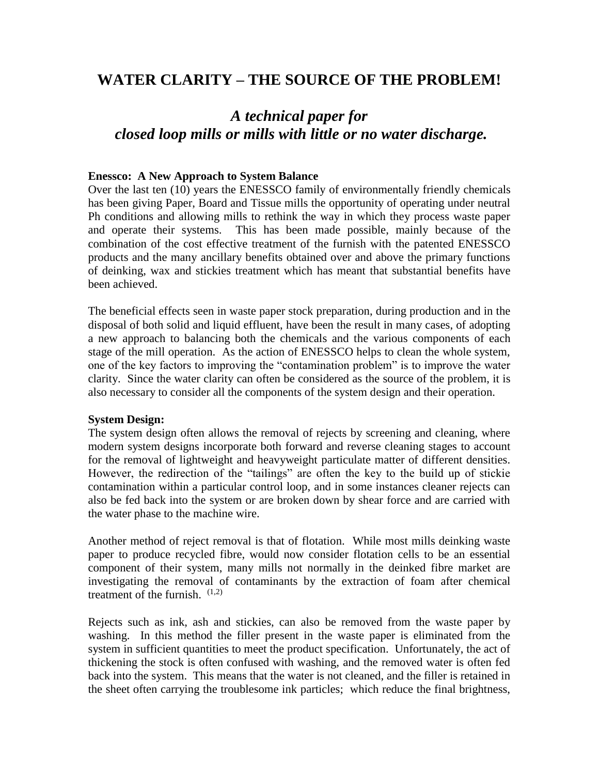## **WATER CLARITY – THE SOURCE OF THE PROBLEM!**

# *A technical paper for closed loop mills or mills with little or no water discharge.*

#### **Enessco: A New Approach to System Balance**

Over the last ten (10) years the ENESSCO family of environmentally friendly chemicals has been giving Paper, Board and Tissue mills the opportunity of operating under neutral Ph conditions and allowing mills to rethink the way in which they process waste paper and operate their systems. This has been made possible, mainly because of the combination of the cost effective treatment of the furnish with the patented ENESSCO products and the many ancillary benefits obtained over and above the primary functions of deinking, wax and stickies treatment which has meant that substantial benefits have been achieved.

The beneficial effects seen in waste paper stock preparation, during production and in the disposal of both solid and liquid effluent, have been the result in many cases, of adopting a new approach to balancing both the chemicals and the various components of each stage of the mill operation. As the action of ENESSCO helps to clean the whole system, one of the key factors to improving the "contamination problem" is to improve the water clarity. Since the water clarity can often be considered as the source of the problem, it is also necessary to consider all the components of the system design and their operation.

#### **System Design:**

The system design often allows the removal of rejects by screening and cleaning, where modern system designs incorporate both forward and reverse cleaning stages to account for the removal of lightweight and heavyweight particulate matter of different densities. However, the redirection of the "tailings" are often the key to the build up of stickie contamination within a particular control loop, and in some instances cleaner rejects can also be fed back into the system or are broken down by shear force and are carried with the water phase to the machine wire.

Another method of reject removal is that of flotation. While most mills deinking waste paper to produce recycled fibre, would now consider flotation cells to be an essential component of their system, many mills not normally in the deinked fibre market are investigating the removal of contaminants by the extraction of foam after chemical treatment of the furnish.  $(1,2)$ 

Rejects such as ink, ash and stickies, can also be removed from the waste paper by washing. In this method the filler present in the waste paper is eliminated from the system in sufficient quantities to meet the product specification. Unfortunately, the act of thickening the stock is often confused with washing, and the removed water is often fed back into the system. This means that the water is not cleaned, and the filler is retained in the sheet often carrying the troublesome ink particles; which reduce the final brightness,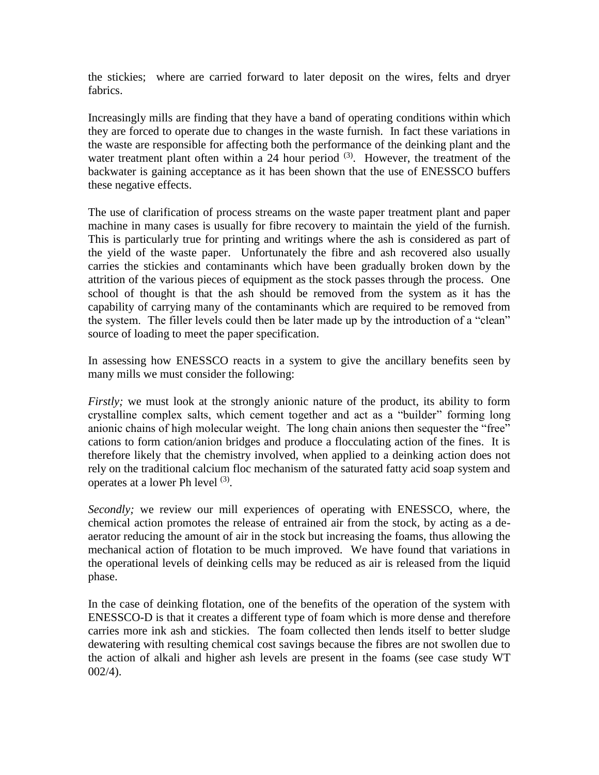the stickies; where are carried forward to later deposit on the wires, felts and dryer fabrics.

Increasingly mills are finding that they have a band of operating conditions within which they are forced to operate due to changes in the waste furnish. In fact these variations in the waste are responsible for affecting both the performance of the deinking plant and the water treatment plant often within a 24 hour period  $(3)$ . However, the treatment of the backwater is gaining acceptance as it has been shown that the use of ENESSCO buffers these negative effects.

The use of clarification of process streams on the waste paper treatment plant and paper machine in many cases is usually for fibre recovery to maintain the yield of the furnish. This is particularly true for printing and writings where the ash is considered as part of the yield of the waste paper. Unfortunately the fibre and ash recovered also usually carries the stickies and contaminants which have been gradually broken down by the attrition of the various pieces of equipment as the stock passes through the process. One school of thought is that the ash should be removed from the system as it has the capability of carrying many of the contaminants which are required to be removed from the system. The filler levels could then be later made up by the introduction of a "clean" source of loading to meet the paper specification.

In assessing how ENESSCO reacts in a system to give the ancillary benefits seen by many mills we must consider the following:

*Firstly*; we must look at the strongly anionic nature of the product, its ability to form crystalline complex salts, which cement together and act as a "builder" forming long anionic chains of high molecular weight. The long chain anions then sequester the "free" cations to form cation/anion bridges and produce a flocculating action of the fines. It is therefore likely that the chemistry involved, when applied to a deinking action does not rely on the traditional calcium floc mechanism of the saturated fatty acid soap system and operates at a lower Ph level <sup>(3)</sup>.

*Secondly;* we review our mill experiences of operating with ENESSCO, where, the chemical action promotes the release of entrained air from the stock, by acting as a deaerator reducing the amount of air in the stock but increasing the foams, thus allowing the mechanical action of flotation to be much improved. We have found that variations in the operational levels of deinking cells may be reduced as air is released from the liquid phase.

In the case of deinking flotation, one of the benefits of the operation of the system with ENESSCO-D is that it creates a different type of foam which is more dense and therefore carries more ink ash and stickies. The foam collected then lends itself to better sludge dewatering with resulting chemical cost savings because the fibres are not swollen due to the action of alkali and higher ash levels are present in the foams (see case study WT 002/4).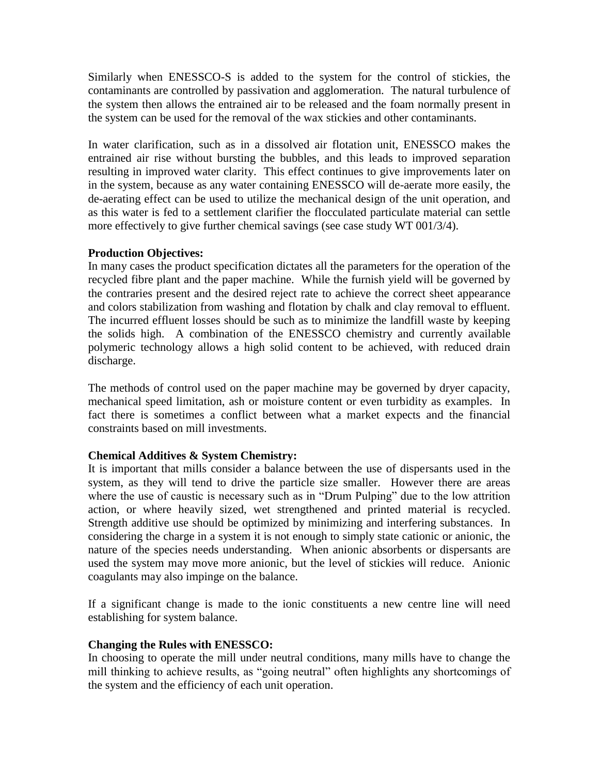Similarly when ENESSCO-S is added to the system for the control of stickies, the contaminants are controlled by passivation and agglomeration. The natural turbulence of the system then allows the entrained air to be released and the foam normally present in the system can be used for the removal of the wax stickies and other contaminants.

In water clarification, such as in a dissolved air flotation unit, ENESSCO makes the entrained air rise without bursting the bubbles, and this leads to improved separation resulting in improved water clarity. This effect continues to give improvements later on in the system, because as any water containing ENESSCO will de-aerate more easily, the de-aerating effect can be used to utilize the mechanical design of the unit operation, and as this water is fed to a settlement clarifier the flocculated particulate material can settle more effectively to give further chemical savings (see case study WT 001/3/4).

## **Production Objectives:**

In many cases the product specification dictates all the parameters for the operation of the recycled fibre plant and the paper machine. While the furnish yield will be governed by the contraries present and the desired reject rate to achieve the correct sheet appearance and colors stabilization from washing and flotation by chalk and clay removal to effluent. The incurred effluent losses should be such as to minimize the landfill waste by keeping the solids high. A combination of the ENESSCO chemistry and currently available polymeric technology allows a high solid content to be achieved, with reduced drain discharge.

The methods of control used on the paper machine may be governed by dryer capacity, mechanical speed limitation, ash or moisture content or even turbidity as examples. In fact there is sometimes a conflict between what a market expects and the financial constraints based on mill investments.

## **Chemical Additives & System Chemistry:**

It is important that mills consider a balance between the use of dispersants used in the system, as they will tend to drive the particle size smaller. However there are areas where the use of caustic is necessary such as in "Drum Pulping" due to the low attrition action, or where heavily sized, wet strengthened and printed material is recycled. Strength additive use should be optimized by minimizing and interfering substances. In considering the charge in a system it is not enough to simply state cationic or anionic, the nature of the species needs understanding. When anionic absorbents or dispersants are used the system may move more anionic, but the level of stickies will reduce. Anionic coagulants may also impinge on the balance.

If a significant change is made to the ionic constituents a new centre line will need establishing for system balance.

### **Changing the Rules with ENESSCO:**

In choosing to operate the mill under neutral conditions, many mills have to change the mill thinking to achieve results, as "going neutral" often highlights any shortcomings of the system and the efficiency of each unit operation.